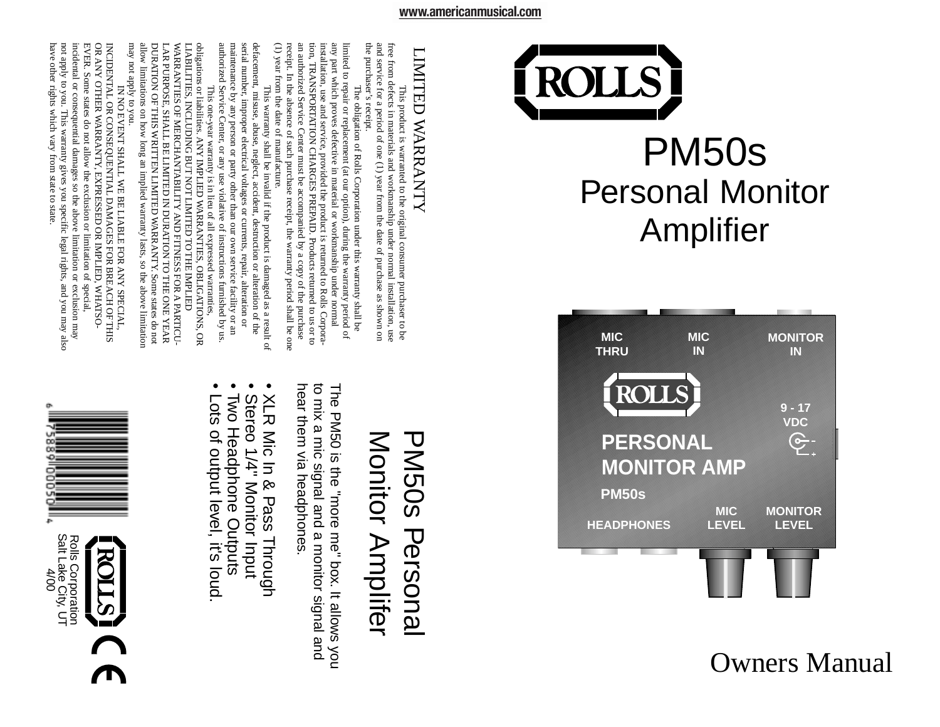



Owners Manual

# LIMITED WARRANTY LIMITED WARRANTY

the purchaser's receipt the purchaser's receipt. and service for a period of one  $(1)$  year from the date of purchase as shown on and service for a period of one (1) year from the date of purchase as shown on free from defects in materials and workmanship under normal installation, use ree from defects in materials and workmanship under normal installation, use This product is warranted to the original consumer purchaser to be This product is warranted to the original consumer purchaser to be

(1) year from the date of manufacture. (1) year from the date of manufacture. receipt. In the absence of such purchase receipt, the warranty period shall be one receipt. In the absence of such purchase receipt, the warranty period shall be one an authorized Service Center must be accompanied by a copy of the purchase an authorized Service Center must be accompanied by a copy of the purchase tion, TRANSPORTATION CHARGES PREPAID. Products returned to us or to tion, TRANSPORTATION CHARGES PREP installation, use and service, provided the product is returned to Rolls Corpora installation, use and service, provided the product is returned to Rolls Corporaany part which proves defective in material or workmanship under normal any part which proves defective in material or workmanship under normal limited to repair or replacement (at our option), during the warranty period of imited to repair or replacement (at our option), during the warranty period of The obligation of Rolls Corporation under this warranty shall be The obligation of Rolls Corporation under this warranty shall be AID. Products returned to us or to

authorized Service Center, or any use violative of instructions furnished by us authorized Service Center maintenance by any person or party other than our own service facility or an maintenance by any person or party other than our own service facility or an serial number, improper electrical voltages or currents, repair, alteration or serial number, improper electrical voltages or currents, repair defacement, misuse, abuse, neglect, accident, destruction or alteration of the defacement, misuse, abuse, neglect, accident, destruction or alteration of the This warranty shall be invalid if the product is damaged as a result of This warranty shall be invalid if the product is damaged as a result of , or any use violative of instructions furnished by us. , alteration or

may not apply to you. may not apply to you. allow limitations on how long an implied warranty lasts, so the above limitation allow limitations on how long an implied warranty lasts, so the above limitation DURATION OF THIS WRITTEN LIMITED WARRANTY. Some states do not DURATION OF THIS WRITTEN LIMITED WARRANTY. Some states do not LAR PURPOSE, SHALL BE LIMITED IN DURATION TO THE ONE YEAR WARRANTIES OF MERCHANTABILITY AND FITNESS FOR A PARTICU-WARRANTIES OF MERCHANTABILITY AND FITNESS FOR A PARTICUobligations or liabilities. ANY IMPLIED WARRANTIES, OBLIGATIONS, OR<br>LIABILITIES, INCLUDING BUT NOT LIMITED TO THE IMPLIED LIABILITIES, INCLUDING BUT NOT LIMITED TO THE IMPLIED obligations or liabilities. ANY IMPLIED WARRANTIES, OBLIGATIONS, OR LAR PURPOSE, SHALL BE LIMITED IN DURATION TO THE ONE YEAR This one-year warranty is in lieu of all expressed warranties, This one-year warranty is in lieu of all expressed warranties,

have other rights which vary from state to state EVER. Some states do not allow the exclusion or limitation of special,<br>incidental or consequential damages so the above limitation or exclusion may<br>not apply to you. This warranty gives you specific legal rights, and you not apply to you. This warranty gives you specific legal incidental or consequential damages so the above limitation or exclusion may EVER. Some states do not allow the exclusion or limitation of special OR ANY OTHER WARRANTY, EXPRESSED OR IMPLIED, WHATSO-OR ANY OTHER W INCIDENTAL OR CONSEQUENTIAL DAMAGES FOR BREACH OF THIS INCIDENTAL OR CONSEQUENTIAL DAMAGES FOR BREACH OF THIS IN NO EVENT SHALL WE BE LIABLE FOR ANY SPECIAL, IN NO EVENT SHALL WE BE LIABLE FOR ANY SPECIAL, ARRANTY, EXPRESSED OR IMPLIED, WHATSOand you may also

## Monitor Amplifer PM50s Personal Monitor Amplifer **PM50s Personal**

hear them via headphones. to mix a mic signal and a monitor signal and to mix a mic signal and a monitor signal and The PM50 is the "more me" box. It allows you hear them via headphones The PM50 is the "more me" box. It allows you

- XLR Mic In & Pass Through XLR Mic In & Pass Through
- Stereo 1/4" Monitor Input Stereo 1/4" Monitor Input
- Two Headphone Outputs
- Two Headphone Outputs
- Lots of output le Lots of output level, it's loud vel, it's loud.